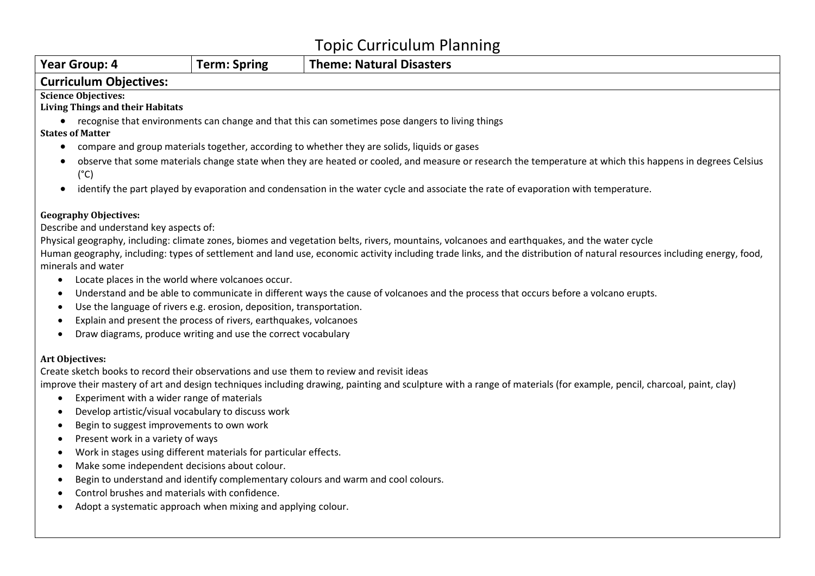| <b>Year Group: 4</b>                                                                                                                                                       | <b>Term: Spring</b>                                                                                                                                    | <b>Theme: Natural Disasters</b>                                                                                                              |  |  |  |  |  |  |
|----------------------------------------------------------------------------------------------------------------------------------------------------------------------------|--------------------------------------------------------------------------------------------------------------------------------------------------------|----------------------------------------------------------------------------------------------------------------------------------------------|--|--|--|--|--|--|
| <b>Curriculum Objectives:</b>                                                                                                                                              |                                                                                                                                                        |                                                                                                                                              |  |  |  |  |  |  |
| <b>Science Objectives:</b>                                                                                                                                                 |                                                                                                                                                        |                                                                                                                                              |  |  |  |  |  |  |
| <b>Living Things and their Habitats</b>                                                                                                                                    |                                                                                                                                                        |                                                                                                                                              |  |  |  |  |  |  |
| recognise that environments can change and that this can sometimes pose dangers to living things                                                                           |                                                                                                                                                        |                                                                                                                                              |  |  |  |  |  |  |
| <b>States of Matter</b>                                                                                                                                                    |                                                                                                                                                        |                                                                                                                                              |  |  |  |  |  |  |
| compare and group materials together, according to whether they are solids, liquids or gases<br>$\bullet$                                                                  |                                                                                                                                                        |                                                                                                                                              |  |  |  |  |  |  |
| observe that some materials change state when they are heated or cooled, and measure or research the temperature at which this happens in degrees Celsius<br>$(^{\circ}C)$ |                                                                                                                                                        |                                                                                                                                              |  |  |  |  |  |  |
| identify the part played by evaporation and condensation in the water cycle and associate the rate of evaporation with temperature.<br>$\bullet$                           |                                                                                                                                                        |                                                                                                                                              |  |  |  |  |  |  |
| <b>Geography Objectives:</b>                                                                                                                                               |                                                                                                                                                        |                                                                                                                                              |  |  |  |  |  |  |
| Describe and understand key aspects of:                                                                                                                                    |                                                                                                                                                        |                                                                                                                                              |  |  |  |  |  |  |
|                                                                                                                                                                            |                                                                                                                                                        | Physical geography, including: climate zones, biomes and vegetation belts, rivers, mountains, volcanoes and earthquakes, and the water cycle |  |  |  |  |  |  |
| Human geography, including: types of settlement and land use, economic activity including trade links, and the distribution of natural resources including energy, food,   |                                                                                                                                                        |                                                                                                                                              |  |  |  |  |  |  |
| minerals and water                                                                                                                                                         |                                                                                                                                                        |                                                                                                                                              |  |  |  |  |  |  |
|                                                                                                                                                                            | Locate places in the world where volcanoes occur.<br>$\bullet$                                                                                         |                                                                                                                                              |  |  |  |  |  |  |
| Understand and be able to communicate in different ways the cause of volcanoes and the process that occurs before a volcano erupts.<br>$\bullet$                           |                                                                                                                                                        |                                                                                                                                              |  |  |  |  |  |  |
|                                                                                                                                                                            | Use the language of rivers e.g. erosion, deposition, transportation.<br>$\bullet$<br>Explain and present the process of rivers, earthquakes, volcanoes |                                                                                                                                              |  |  |  |  |  |  |
| $\bullet$                                                                                                                                                                  |                                                                                                                                                        |                                                                                                                                              |  |  |  |  |  |  |
| Draw diagrams, produce writing and use the correct vocabulary<br>$\bullet$                                                                                                 |                                                                                                                                                        |                                                                                                                                              |  |  |  |  |  |  |
| Art Objectives:                                                                                                                                                            |                                                                                                                                                        |                                                                                                                                              |  |  |  |  |  |  |
| Create sketch books to record their observations and use them to review and revisit ideas                                                                                  |                                                                                                                                                        |                                                                                                                                              |  |  |  |  |  |  |
| improve their mastery of art and design techniques including drawing, painting and sculpture with a range of materials (for example, pencil, charcoal, paint, clay)        |                                                                                                                                                        |                                                                                                                                              |  |  |  |  |  |  |
| Experiment with a wider range of materials<br>$\bullet$                                                                                                                    |                                                                                                                                                        |                                                                                                                                              |  |  |  |  |  |  |
| $\bullet$                                                                                                                                                                  | Develop artistic/visual vocabulary to discuss work                                                                                                     |                                                                                                                                              |  |  |  |  |  |  |
| Begin to suggest improvements to own work<br>$\bullet$                                                                                                                     |                                                                                                                                                        |                                                                                                                                              |  |  |  |  |  |  |
| $\bullet$                                                                                                                                                                  | Present work in a variety of ways                                                                                                                      |                                                                                                                                              |  |  |  |  |  |  |
| $\bullet$                                                                                                                                                                  | Work in stages using different materials for particular effects.                                                                                       |                                                                                                                                              |  |  |  |  |  |  |
| $\bullet$                                                                                                                                                                  | Make some independent decisions about colour.                                                                                                          |                                                                                                                                              |  |  |  |  |  |  |
| $\bullet$                                                                                                                                                                  | Begin to understand and identify complementary colours and warm and cool colours.                                                                      |                                                                                                                                              |  |  |  |  |  |  |
|                                                                                                                                                                            | Control brushes and materials with confidence.                                                                                                         |                                                                                                                                              |  |  |  |  |  |  |
| ٠                                                                                                                                                                          | Adopt a systematic approach when mixing and applying colour.                                                                                           |                                                                                                                                              |  |  |  |  |  |  |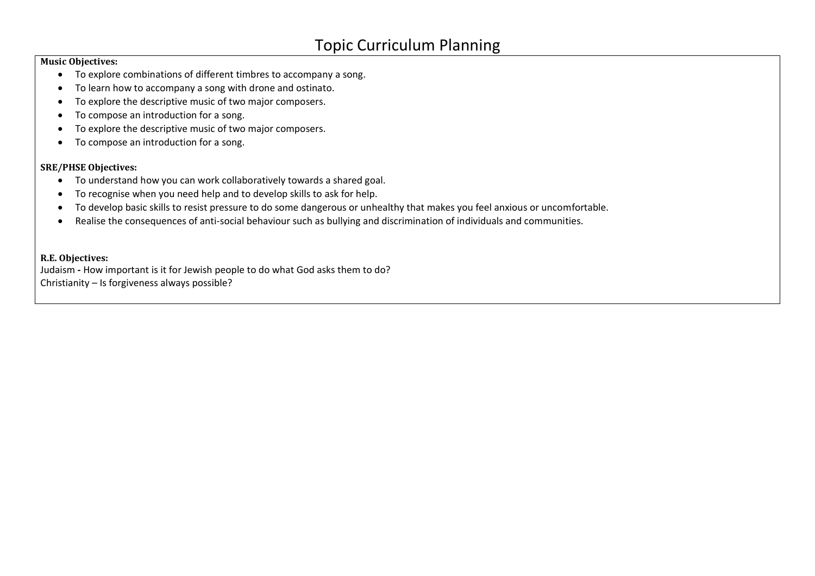#### **Music Objectives:**

- To explore combinations of different timbres to accompany a song.
- To learn how to accompany a song with drone and ostinato.
- To explore the descriptive music of two major composers.
- To compose an introduction for a song.
- To explore the descriptive music of two major composers.
- To compose an introduction for a song.

#### **SRE/PHSE Objectives:**

- To understand how you can work collaboratively towards a shared goal.
- To recognise when you need help and to develop skills to ask for help.
- To develop basic skills to resist pressure to do some dangerous or unhealthy that makes you feel anxious or uncomfortable.
- Realise the consequences of anti-social behaviour such as bullying and discrimination of individuals and communities.

#### **R.E. Objectives:**

Judaism **-** How important is it for Jewish people to do what God asks them to do? Christianity – Is forgiveness always possible?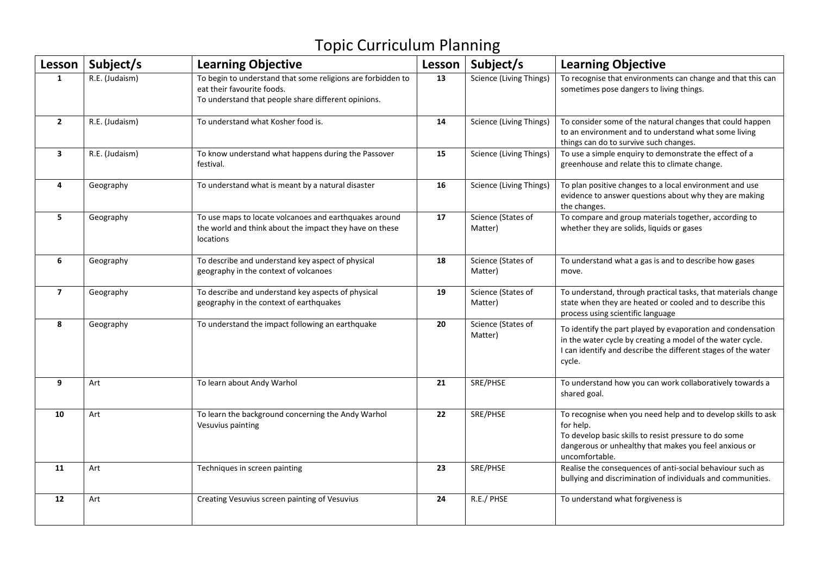| Lesson         | Subject/s      | <b>Learning Objective</b>                                                                                                                        | Lesson | Subject/s                      | <b>Learning Objective</b>                                                                                                                                                                                     |
|----------------|----------------|--------------------------------------------------------------------------------------------------------------------------------------------------|--------|--------------------------------|---------------------------------------------------------------------------------------------------------------------------------------------------------------------------------------------------------------|
| 1              | R.E. (Judaism) | To begin to understand that some religions are forbidden to<br>eat their favourite foods.<br>To understand that people share different opinions. | 13     | Science (Living Things)        | To recognise that environments can change and that this can<br>sometimes pose dangers to living things.                                                                                                       |
| $\overline{2}$ | R.E. (Judaism) | To understand what Kosher food is.                                                                                                               | 14     | <b>Science (Living Things)</b> | To consider some of the natural changes that could happen<br>to an environment and to understand what some living<br>things can do to survive such changes.                                                   |
| $\mathbf{3}$   | R.E. (Judaism) | To know understand what happens during the Passover<br>festival.                                                                                 | 15     | Science (Living Things)        | To use a simple enquiry to demonstrate the effect of a<br>greenhouse and relate this to climate change.                                                                                                       |
| $\overline{4}$ | Geography      | To understand what is meant by a natural disaster                                                                                                | 16     | Science (Living Things)        | To plan positive changes to a local environment and use<br>evidence to answer questions about why they are making<br>the changes.                                                                             |
| 5              | Geography      | To use maps to locate volcanoes and earthquakes around<br>the world and think about the impact they have on these<br>locations                   | 17     | Science (States of<br>Matter)  | To compare and group materials together, according to<br>whether they are solids, liquids or gases                                                                                                            |
| 6              | Geography      | To describe and understand key aspect of physical<br>geography in the context of volcanoes                                                       | 18     | Science (States of<br>Matter)  | To understand what a gas is and to describe how gases<br>move.                                                                                                                                                |
| $\overline{7}$ | Geography      | To describe and understand key aspects of physical<br>geography in the context of earthquakes                                                    | 19     | Science (States of<br>Matter)  | To understand, through practical tasks, that materials change<br>state when they are heated or cooled and to describe this<br>process using scientific language                                               |
| 8              | Geography      | To understand the impact following an earthquake                                                                                                 | 20     | Science (States of<br>Matter)  | To identify the part played by evaporation and condensation<br>in the water cycle by creating a model of the water cycle.<br>I can identify and describe the different stages of the water<br>cycle.          |
| 9              | Art            | To learn about Andy Warhol                                                                                                                       | 21     | SRE/PHSE                       | To understand how you can work collaboratively towards a<br>shared goal.                                                                                                                                      |
| 10             | Art            | To learn the background concerning the Andy Warhol<br>Vesuvius painting                                                                          | 22     | SRE/PHSE                       | To recognise when you need help and to develop skills to ask<br>for help.<br>To develop basic skills to resist pressure to do some<br>dangerous or unhealthy that makes you feel anxious or<br>uncomfortable. |
| 11             | Art            | Techniques in screen painting                                                                                                                    | 23     | SRE/PHSE                       | Realise the consequences of anti-social behaviour such as<br>bullying and discrimination of individuals and communities.                                                                                      |
| 12             | Art            | Creating Vesuvius screen painting of Vesuvius                                                                                                    | 24     | R.E./ PHSE                     | To understand what forgiveness is                                                                                                                                                                             |